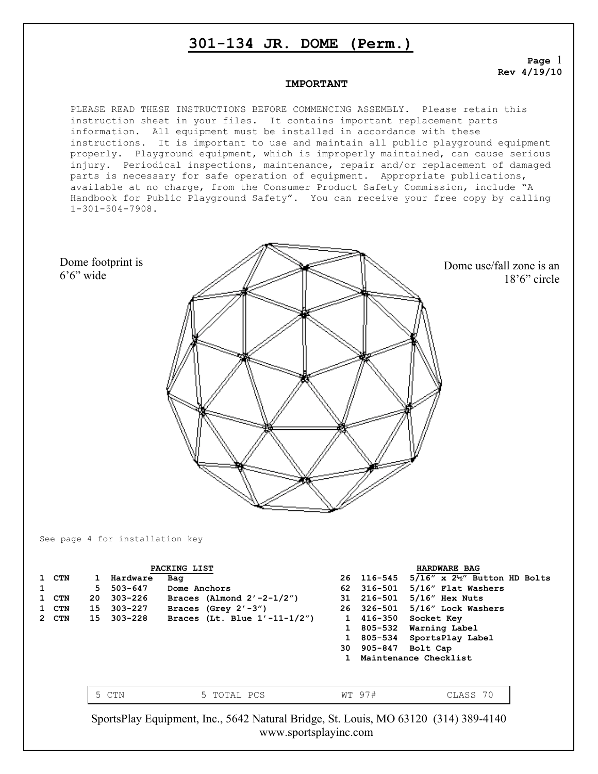# **301-134 JR. DOME (Perm.)**

**Page** 1 **Rev 4/19/10**

18'6" circle

#### **IMPORTANT**

PLEASE READ THESE INSTRUCTIONS BEFORE COMMENCING ASSEMBLY. Please retain this instruction sheet in your files. It contains important replacement parts information. All equipment must be installed in accordance with these instructions. It is important to use and maintain all public playground equipment properly. Playground equipment, which is improperly maintained, can cause serious injury. Periodical inspections, maintenance, repair and/or replacement of damaged parts is necessary for safe operation of equipment. Appropriate publications, available at no charge, from the Consumer Product Safety Commission, include "A Handbook for Public Playground Safety". You can receive your free copy by calling 1-301-504-7908.

Dome footprint is 6'6" wide Dome use/fall zone is an

See page 4 for installation key

| PACKING LIST |              |          |                                     |    | HARDWARE BAG |                                             |  |
|--------------|--------------|----------|-------------------------------------|----|--------------|---------------------------------------------|--|
| 1 CTN        | $\mathbf{1}$ | Hardware | Bag                                 |    | 26 116-545   | $5/16''$ x $2\frac{1}{2}''$ Button HD Bolts |  |
|              | 5.           | 503-647  | Dome Anchors                        | 62 | 316–501      | 5/16" Flat Washers                          |  |
| 1 CTN        | 20           | 303-226  | Braces (Almond $2'$ -2-1/2")        |    | 31 216-501   | $5/16$ " Hex Nuts                           |  |
| 1 CTN        | 15           | 303-227  | Braces (Grey $2' - 3'$ )            |    | 26 326-501   | 5/16" Lock Washers                          |  |
| 2 CTN        | 15           | 303-228  | Braces (Lt. Blue $1' - 11 - 1/2'$ ) |    | 1 416-350    | Socket Key                                  |  |
|              |              |          |                                     |    | 805-532      | Warning Label                               |  |
|              |              |          |                                     |    | 805-534      | SportsPlay Label                            |  |
|              |              |          |                                     |    | 30 905-847   | Bolt Cap                                    |  |
|              |              |          |                                     |    |              | Maintenance Checklist                       |  |
|              |              |          |                                     |    |              |                                             |  |
|              |              |          |                                     |    |              |                                             |  |
|              |              | CTN      | 5 TOTAL PCS                         |    | WT 97#       | CLASS 70                                    |  |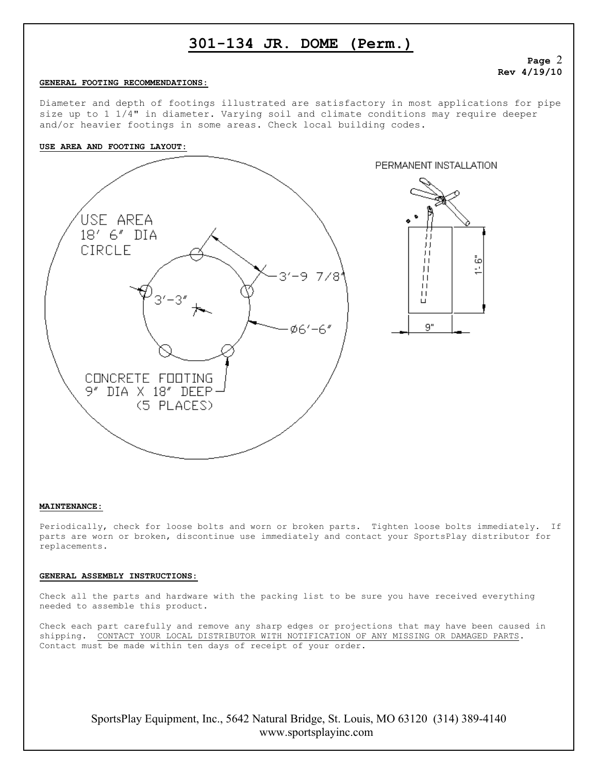# **301-134 JR. DOME (Perm.)**

### **Page** 2 **Rev 4/19/10**

#### **GENERAL FOOTING RECOMMENDATIONS:**

Diameter and depth of footings illustrated are satisfactory in most applications for pipe size up to 1 1/4" in diameter. Varying soil and climate conditions may require deeper and/or heavier footings in some areas. Check local building codes.

#### **USE AREA AND FOOTING LAYOUT:**



### **MAINTENANCE:**

Periodically, check for loose bolts and worn or broken parts. Tighten loose bolts immediately. If parts are worn or broken, discontinue use immediately and contact your SportsPlay distributor for replacements.

### **GENERAL ASSEMBLY INSTRUCTIONS:**

Check all the parts and hardware with the packing list to be sure you have received everything needed to assemble this product.

Check each part carefully and remove any sharp edges or projections that may have been caused in shipping. CONTACT YOUR LOCAL DISTRIBUTOR WITH NOTIFICATION OF ANY MISSING OR DAMAGED PARTS. Contact must be made within ten days of receipt of your order.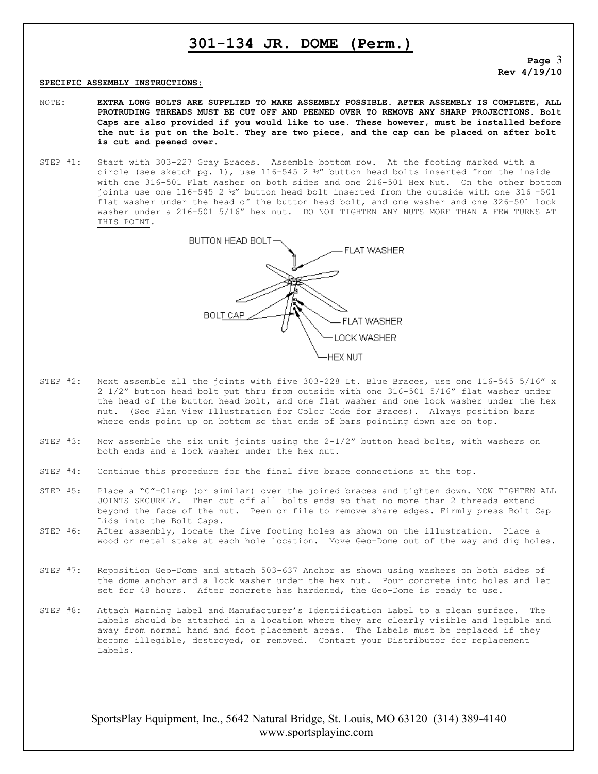### **301-134 JR. DOME (Perm.)**

**Page** 3 **Rev 4/19/10**

#### **SPECIFIC ASSEMBLY INSTRUCTIONS:**

- NOTE: **EXTRA LONG BOLTS ARE SUPPLIED TO MAKE ASSEMBLY POSSIBLE. AFTER ASSEMBLY IS COMPLETE, ALL PROTRUDING THREADS MUST BE CUT OFF AND PEENED OVER TO REMOVE ANY SHARP PROJECTIONS. Bolt Caps are also provided if you would like to use. These however, must be installed before the nut is put on the bolt. They are two piece, and the cap can be placed on after bolt is cut and peened over.**
- STEP #1: Start with 303-227 Gray Braces. Assemble bottom row. At the footing marked with a circle (see sketch pg. 1), use  $116-545$  2  $\nu''$  button head bolts inserted from the inside with one 316-501 Flat Washer on both sides and one 216-501 Hex Nut. On the other bottom joints use one 116-545 2 ½" button head bolt inserted from the outside with one 316 -501 flat washer under the head of the button head bolt, and one washer and one 326-501 lock washer under a 216-501 5/16" hex nut. DO NOT TIGHTEN ANY NUTS MORE THAN A FEW TURNS AT THIS POINT.



- STEP #2: Next assemble all the joints with five 303-228 Lt. Blue Braces, use one 116-545 5/16" x 2 1/2" button head bolt put thru from outside with one 316-501 5/16" flat washer under the head of the button head bolt, and one flat washer and one lock washer under the hex nut. (See Plan View Illustration for Color Code for Braces). Always position bars where ends point up on bottom so that ends of bars pointing down are on top.
- STEP #3: Now assemble the six unit joints using the  $2-1/2$ " button head bolts, with washers on both ends and a lock washer under the hex nut.
- STEP #4: Continue this procedure for the final five brace connections at the top.
- STEP #5: Place a "C"-Clamp (or similar) over the joined braces and tighten down. NOW TIGHTEN ALL JOINTS SECURELY. Then cut off all bolts ends so that no more than 2 threads extend beyond the face of the nut. Peen or file to remove share edges. Firmly press Bolt Cap Lids into the Bolt Caps.
- STEP #6: After assembly, locate the five footing holes as shown on the illustration. Place a wood or metal stake at each hole location. Move Geo-Dome out of the way and dig holes.
- STEP #7: Reposition Geo-Dome and attach 503-637 Anchor as shown using washers on both sides of the dome anchor and a lock washer under the hex nut. Pour concrete into holes and let set for 48 hours. After concrete has hardened, the Geo-Dome is ready to use.
- STEP #8: Attach Warning Label and Manufacturer's Identification Label to a clean surface. The Labels should be attached in a location where they are clearly visible and legible and away from normal hand and foot placement areas. The Labels must be replaced if they become illegible, destroyed, or removed. Contact your Distributor for replacement Labels.